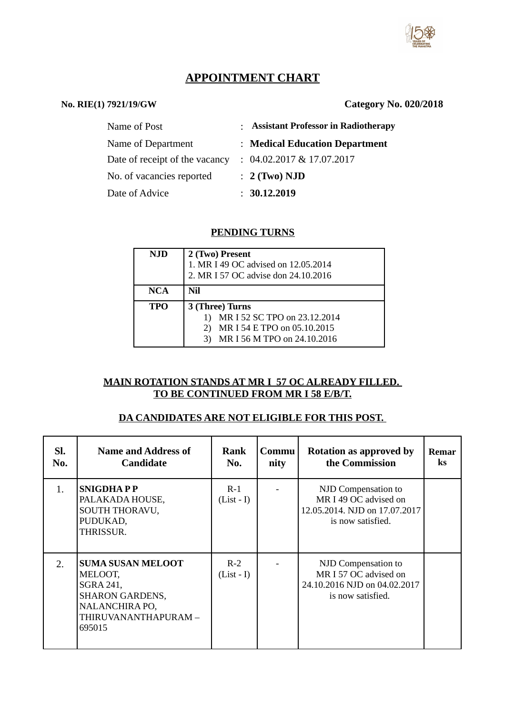

# **APPOINTMENT CHART**

## **No. RIE(1) 7921/19/GW Category No. 020/2018**

| Name of Post                   | : Assistant Professor in Radiotherapy |
|--------------------------------|---------------------------------------|
| Name of Department             | : Medical Education Department        |
| Date of receipt of the vacancy | $: 04.02.2017 \& 17.07.2017$          |
| No. of vacancies reported      | $: 2$ (Two) NJD                       |
| Date of Advice                 | : 30.12.2019                          |

#### **PENDING TURNS**

| NJD        | 2 (Two) Present<br>1. MR I 49 OC advised on 12.05.2014<br>2. MR I 57 OC advise don 24.10.2016                 |
|------------|---------------------------------------------------------------------------------------------------------------|
| <b>NCA</b> | Nil                                                                                                           |
| TPO        | 3 (Three) Turns<br>MR I 52 SC TPO on 23.12.2014<br>MR I 54 E TPO on 05.10.2015<br>MR I 56 M TPO on 24.10.2016 |

## **MAIN ROTATION STANDS AT MR I 57 OC ALREADY FILLED. TO BE CONTINUED FROM MR I 58 E/B/T.**

## **DA CANDIDATES ARE NOT ELIGIBLE FOR THIS POST.**

| SI.<br>No. | <b>Name and Address of</b><br><b>Candidate</b>                                                                                 | Rank<br>No.           | Commu<br>nity | <b>Rotation as approved by</b><br>the Commission                                                   | Remar<br><b>ks</b> |
|------------|--------------------------------------------------------------------------------------------------------------------------------|-----------------------|---------------|----------------------------------------------------------------------------------------------------|--------------------|
| 1.         | <b>SNIGDHAPP</b><br>PALAKADA HOUSE,<br>SOUTH THORAVU,<br>PUDUKAD,<br>THRISSUR.                                                 | $R-1$<br>$(List - I)$ |               | NJD Compensation to<br>MR I 49 OC advised on<br>12.05.2014. NJD on 17.07.2017<br>is now satisfied. |                    |
| 2.         | <b>SUMA SUSAN MELOOT</b><br>MELOOT,<br>SGRA 241,<br><b>SHARON GARDENS,</b><br>NALANCHIRA PO,<br>THIRUVANANTHAPURAM -<br>695015 | $R-2$<br>$(List - I)$ |               | NJD Compensation to<br>MR I 57 OC advised on<br>24.10.2016 NJD on 04.02.2017<br>is now satisfied.  |                    |